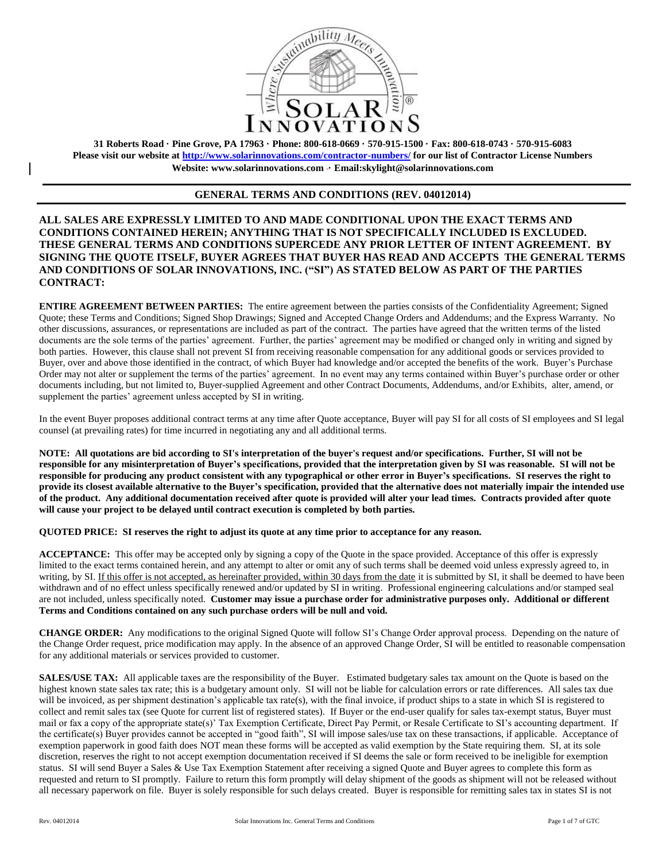

**31 Roberts Road · Pine Grove, PA 17963 · Phone: 800-618-0669 · 570-915-1500 · Fax: 800-618-0743 · 570-915-6083 Please visit our website at<http://www.solarinnovations.com/contractor-numbers/> for our list of Contractor License Numbers Website: [www.solarinnovations.com](http://www.solarinnovations.com/) · Email:skylight@solarinnovations.com**

# **GENERAL TERMS AND CONDITIONS (REV. 04012014)**

**ALL SALES ARE EXPRESSLY LIMITED TO AND MADE CONDITIONAL UPON THE EXACT TERMS AND CONDITIONS CONTAINED HEREIN; ANYTHING THAT IS NOT SPECIFICALLY INCLUDED IS EXCLUDED. THESE GENERAL TERMS AND CONDITIONS SUPERCEDE ANY PRIOR LETTER OF INTENT AGREEMENT. BY SIGNING THE QUOTE ITSELF, BUYER AGREES THAT BUYER HAS READ AND ACCEPTS THE GENERAL TERMS AND CONDITIONS OF SOLAR INNOVATIONS, INC. ("SI") AS STATED BELOW AS PART OF THE PARTIES CONTRACT:**

**ENTIRE AGREEMENT BETWEEN PARTIES:** The entire agreement between the parties consists of the Confidentiality Agreement; Signed Quote; these Terms and Conditions; Signed Shop Drawings; Signed and Accepted Change Orders and Addendums; and the Express Warranty. No other discussions, assurances, or representations are included as part of the contract. The parties have agreed that the written terms of the listed documents are the sole terms of the parties' agreement. Further, the parties' agreement may be modified or changed only in writing and signed by both parties. However, this clause shall not prevent SI from receiving reasonable compensation for any additional goods or services provided to Buyer, over and above those identified in the contract, of which Buyer had knowledge and/or accepted the benefits of the work. Buyer's Purchase Order may not alter or supplement the terms of the parties' agreement. In no event may any terms contained within Buyer's purchase order or other documents including, but not limited to, Buyer-supplied Agreement and other Contract Documents, Addendums, and/or Exhibits, alter, amend, or supplement the parties' agreement unless accepted by SI in writing.

In the event Buyer proposes additional contract terms at any time after Quote acceptance, Buyer will pay SI for all costs of SI employees and SI legal counsel (at prevailing rates) for time incurred in negotiating any and all additional terms.

**NOTE: All quotations are bid according to SI's interpretation of the buyer's request and/or specifications. Further, SI will not be responsible for any misinterpretation of Buyer's specifications, provided that the interpretation given by SI was reasonable. SI will not be responsible for producing any product consistent with any typographical or other error in Buyer's specifications. SI reserves the right to provide its closest available alternative to the Buyer's specification, provided that the alternative does not materially impair the intended use of the product. Any additional documentation received after quote is provided will alter your lead times. Contracts provided after quote will cause your project to be delayed until contract execution is completed by both parties.** 

**QUOTED PRICE: SI reserves the right to adjust its quote at any time prior to acceptance for any reason.** 

**ACCEPTANCE:** This offer may be accepted only by signing a copy of the Quote in the space provided. Acceptance of this offer is expressly limited to the exact terms contained herein, and any attempt to alter or omit any of such terms shall be deemed void unless expressly agreed to, in writing, by SI. If this offer is not accepted, as hereinafter provided, within 30 days from the date it is submitted by SI, it shall be deemed to have been withdrawn and of no effect unless specifically renewed and/or updated by SI in writing. Professional engineering calculations and/or stamped seal are not included, unless specifically noted. **Customer may issue a purchase order for administrative purposes only. Additional or different Terms and Conditions contained on any such purchase orders will be null and void.**

**CHANGE ORDER:** Any modifications to the original Signed Quote will follow SI's Change Order approval process. Depending on the nature of the Change Order request, price modification may apply. In the absence of an approved Change Order, SI will be entitled to reasonable compensation for any additional materials or services provided to customer.

**SALES/USE TAX:** All applicable taxes are the responsibility of the Buyer. Estimated budgetary sales tax amount on the Quote is based on the highest known state sales tax rate; this is a budgetary amount only. SI will not be liable for calculation errors or rate differences. All sales tax due will be invoiced, as per shipment destination's applicable tax rate(s), with the final invoice, if product ships to a state in which SI is registered to collect and remit sales tax (see Quote for current list of registered states). If Buyer or the end-user qualify for sales tax-exempt status, Buyer must mail or fax a copy of the appropriate state(s)' Tax Exemption Certificate, Direct Pay Permit, or Resale Certificate to SI's accounting department. If the certificate(s) Buyer provides cannot be accepted in "good faith", SI will impose sales/use tax on these transactions, if applicable. Acceptance of exemption paperwork in good faith does NOT mean these forms will be accepted as valid exemption by the State requiring them. SI, at its sole discretion, reserves the right to not accept exemption documentation received if SI deems the sale or form received to be ineligible for exemption status. SI will send Buyer a Sales & Use Tax Exemption Statement after receiving a signed Quote and Buyer agrees to complete this form as requested and return to SI promptly. Failure to return this form promptly will delay shipment of the goods as shipment will not be released without all necessary paperwork on file. Buyer is solely responsible for such delays created. Buyer is responsible for remitting sales tax in states SI is not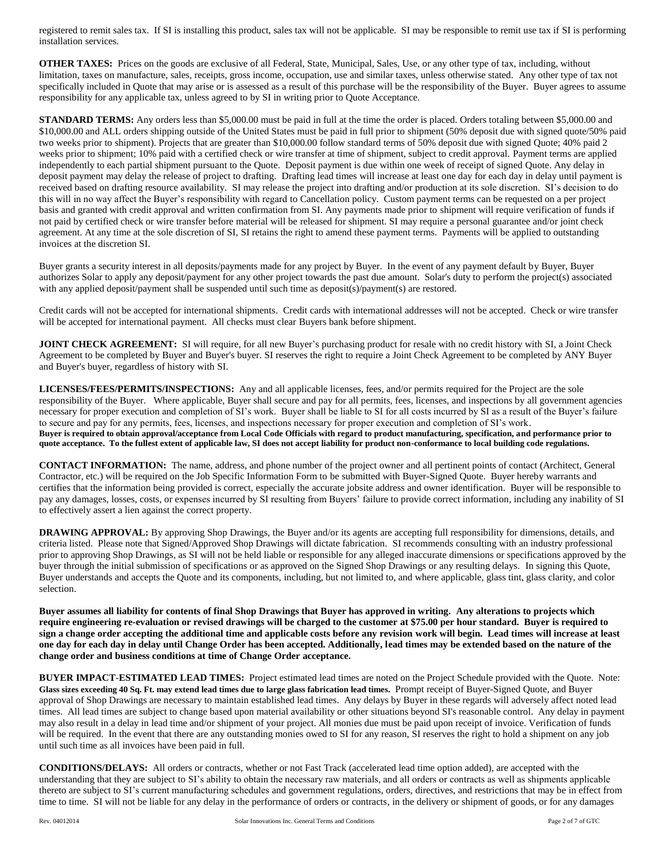registered to remit sales tax. If SI is installing this product, sales tax will not be applicable. SI may be responsible to remit use tax if SI is performing installation services.

**OTHER TAXES:** Prices on the goods are exclusive of all Federal, State, Municipal, Sales, Use, or any other type of tax, including, without limitation, taxes on manufacture, sales, receipts, gross income, occupation, use and similar taxes, unless otherwise stated. Any other type of tax not specifically included in Quote that may arise or is assessed as a result of this purchase will be the responsibility of the Buyer. Buyer agrees to assume responsibility for any applicable tax, unless agreed to by SI in writing prior to Quote Acceptance.

**STANDARD TERMS:** Any orders less than \$5,000.00 must be paid in full at the time the order is placed. Orders totaling between \$5,000.00 and \$10,000.00 and ALL orders shipping outside of the United States must be paid in full prior to shipment (50% deposit due with signed quote/50% paid two weeks prior to shipment). Projects that are greater than \$10,000.00 follow standard terms of 50% deposit due with signed Quote; 40% paid 2 weeks prior to shipment; 10% paid with a certified check or wire transfer at time of shipment, subject to credit approval. Payment terms are applied independently to each partial shipment pursuant to the Quote. Deposit payment is due within one week of receipt of signed Quote. Any delay in deposit payment may delay the release of project to drafting. Drafting lead times will increase at least one day for each day in delay until payment is received based on drafting resource availability. SI may release the project into drafting and/or production at its sole discretion. SI's decision to do this will in no way affect the Buyer's responsibility with regard to Cancellation policy. Custom payment terms can be requested on a per project basis and granted with credit approval and written confirmation from SI. Any payments made prior to shipment will require verification of funds if not paid by certified check or wire transfer before material will be released for shipment. SI may require a personal guarantee and/or joint check agreement. At any time at the sole discretion of SI, SI retains the right to amend these payment terms. Payments will be applied to outstanding invoices at the discretion SI.

Buyer grants a security interest in all deposits/payments made for any project by Buyer. In the event of any payment default by Buyer, Buyer authorizes Solar to apply any deposit/payment for any other project towards the past due amount. Solar's duty to perform the project(s) associated with any applied deposit/payment shall be suspended until such time as deposit(s)/payment(s) are restored.

Credit cards will not be accepted for international shipments. Credit cards with international addresses will not be accepted. Check or wire transfer will be accepted for international payment. All checks must clear Buyers bank before shipment.

**JOINT CHECK AGREEMENT:** SI will require, for all new Buyer's purchasing product for resale with no credit history with SI, a Joint Check Agreement to be completed by Buyer and Buyer's buyer. SI reserves the right to require a Joint Check Agreement to be completed by ANY Buyer and Buyer's buyer, regardless of history with SI.

**LICENSES/FEES/PERMITS/INSPECTIONS:** Any and all applicable licenses, fees, and/or permits required for the Project are the sole responsibility of the Buyer. Where applicable, Buyer shall secure and pay for all permits, fees, licenses, and inspections by all government agencies necessary for proper execution and completion of SI's work. Buyer shall be liable to SI for all costs incurred by SI as a result of the Buyer's failure to secure and pay for any permits, fees, licenses, and inspections necessary for proper execution and completion of SI's work. **Buyer is required to obtain approval/acceptance from Local Code Officials with regard to product manufacturing, specification, and performance prior to quote acceptance. To the fullest extent of applicable law, SI does not accept liability for product non-conformance to local building code regulations.**

**CONTACT INFORMATION:** The name, address, and phone number of the project owner and all pertinent points of contact (Architect, General Contractor, etc.) will be required on the Job Specific Information Form to be submitted with Buyer-Signed Quote. Buyer hereby warrants and certifies that the information being provided is correct, especially the accurate jobsite address and owner identification. Buyer will be responsible to pay any damages, losses, costs, or expenses incurred by SI resulting from Buyers' failure to provide correct information, including any inability of SI to effectively assert a lien against the correct property.

**DRAWING APPROVAL:** By approving Shop Drawings, the Buyer and/or its agents are accepting full responsibility for dimensions, details, and criteria listed. Please note that Signed/Approved Shop Drawings will dictate fabrication. SI recommends consulting with an industry professional prior to approving Shop Drawings, as SI will not be held liable or responsible for any alleged inaccurate dimensions or specifications approved by the buyer through the initial submission of specifications or as approved on the Signed Shop Drawings or any resulting delays. In signing this Quote, Buyer understands and accepts the Quote and its components, including, but not limited to, and where applicable, glass tint, glass clarity, and color selection.

**Buyer assumes all liability for contents of final Shop Drawings that Buyer has approved in writing. Any alterations to projects which require engineering re-evaluation or revised drawings will be charged to the customer at \$75.00 per hour standard. Buyer is required to sign a change order accepting the additional time and applicable costs before any revision work will begin. Lead times will increase at least one day for each day in delay until Change Order has been accepted. Additionally, lead times may be extended based on the nature of the change order and business conditions at time of Change Order acceptance.**

**BUYER IMPACT**-**ESTIMATED LEAD TIMES:** Project estimated lead times are noted on the Project Schedule provided with the Quote. Note: **Glass sizes exceeding 40 Sq. Ft. may extend lead times due to large glass fabrication lead times.** Prompt receipt of Buyer-Signed Quote, and Buyer approval of Shop Drawings are necessary to maintain established lead times. Any delays by Buyer in these regards will adversely affect noted lead times. All lead times are subject to change based upon material availability or other situations beyond SI's reasonable control. Any delay in payment may also result in a delay in lead time and/or shipment of your project. All monies due must be paid upon receipt of invoice. Verification of funds will be required. In the event that there are any outstanding monies owed to SI for any reason, SI reserves the right to hold a shipment on any job until such time as all invoices have been paid in full.

**CONDITIONS/DELAYS:** All orders or contracts, whether or not Fast Track (accelerated lead time option added), are accepted with the understanding that they are subject to SI's ability to obtain the necessary raw materials, and all orders or contracts as well as shipments applicable thereto are subject to SI's current manufacturing schedules and government regulations, orders, directives, and restrictions that may be in effect from time to time. SI will not be liable for any delay in the performance of orders or contracts, in the delivery or shipment of goods, or for any damages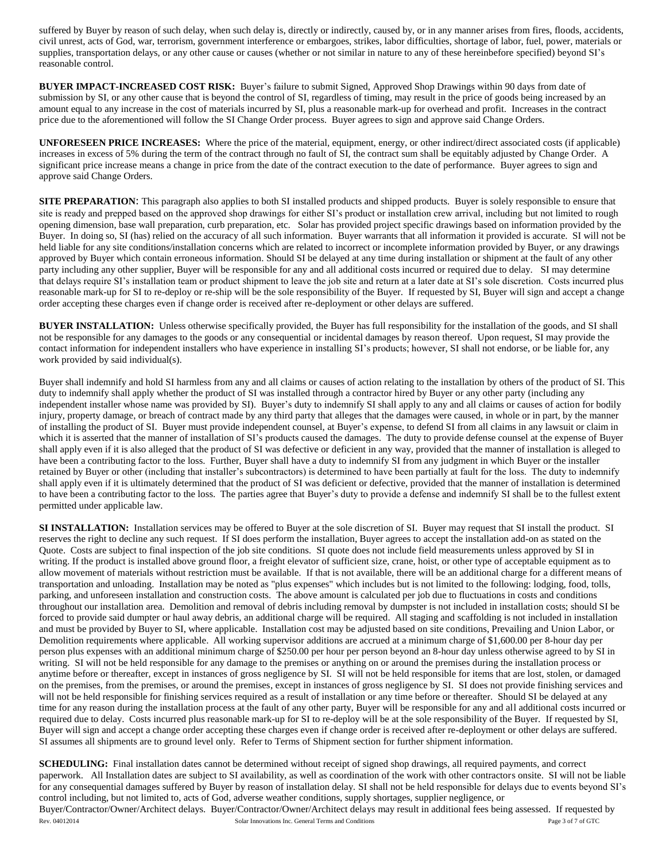suffered by Buyer by reason of such delay, when such delay is, directly or indirectly, caused by, or in any manner arises from fires, floods, accidents, civil unrest, acts of God, war, terrorism, government interference or embargoes, strikes, labor difficulties, shortage of labor, fuel, power, materials or supplies, transportation delays, or any other cause or causes (whether or not similar in nature to any of these hereinbefore specified) beyond SI's reasonable control.

**BUYER IMPACT-INCREASED COST RISK:** Buyer's failure to submit Signed, Approved Shop Drawings within 90 days from date of submission by SI, or any other cause that is beyond the control of SI, regardless of timing, may result in the price of goods being increased by an amount equal to any increase in the cost of materials incurred by SI, plus a reasonable mark-up for overhead and profit. Increases in the contract price due to the aforementioned will follow the SI Change Order process. Buyer agrees to sign and approve said Change Orders.

**UNFORESEEN PRICE INCREASES:** Where the price of the material, equipment, energy, or other indirect/direct associated costs (if applicable) increases in excess of 5% during the term of the contract through no fault of SI, the contract sum shall be equitably adjusted by Change Order. A significant price increase means a change in price from the date of the contract execution to the date of performance. Buyer agrees to sign and approve said Change Orders.

**SITE PREPARATION**: This paragraph also applies to both SI installed products and shipped products. Buyer is solely responsible to ensure that site is ready and prepped based on the approved shop drawings for either SI's product or installation crew arrival, including but not limited to rough opening dimension, base wall preparation, curb preparation, etc. Solar has provided project specific drawings based on information provided by the Buyer. In doing so, SI (has) relied on the accuracy of all such information. Buyer warrants that all information it provided is accurate. SI will not be held liable for any site conditions/installation concerns which are related to incorrect or incomplete information provided by Buyer, or any drawings approved by Buyer which contain erroneous information. Should SI be delayed at any time during installation or shipment at the fault of any other party including any other supplier, Buyer will be responsible for any and all additional costs incurred or required due to delay. SI may determine that delays require SI's installation team or product shipment to leave the job site and return at a later date at SI's sole discretion. Costs incurred plus reasonable mark-up for SI to re-deploy or re-ship will be the sole responsibility of the Buyer. If requested by SI, Buyer will sign and accept a change order accepting these charges even if change order is received after re-deployment or other delays are suffered.

**BUYER INSTALLATION:** Unless otherwise specifically provided, the Buyer has full responsibility for the installation of the goods, and SI shall not be responsible for any damages to the goods or any consequential or incidental damages by reason thereof. Upon request, SI may provide the contact information for independent installers who have experience in installing SI's products; however, SI shall not endorse, or be liable for, any work provided by said individual(s).

Buyer shall indemnify and hold SI harmless from any and all claims or causes of action relating to the installation by others of the product of SI. This duty to indemnify shall apply whether the product of SI was installed through a contractor hired by Buyer or any other party (including any independent installer whose name was provided by SI). Buyer's duty to indemnify SI shall apply to any and all claims or causes of action for bodily injury, property damage, or breach of contract made by any third party that alleges that the damages were caused, in whole or in part, by the manner of installing the product of SI. Buyer must provide independent counsel, at Buyer's expense, to defend SI from all claims in any lawsuit or claim in which it is asserted that the manner of installation of SI's products caused the damages. The duty to provide defense counsel at the expense of Buyer shall apply even if it is also alleged that the product of SI was defective or deficient in any way, provided that the manner of installation is alleged to have been a contributing factor to the loss. Further, Buyer shall have a duty to indemnify SI from any judgment in which Buyer or the installer retained by Buyer or other (including that installer's subcontractors) is determined to have been partially at fault for the loss. The duty to indemnify shall apply even if it is ultimately determined that the product of SI was deficient or defective, provided that the manner of installation is determined to have been a contributing factor to the loss. The parties agree that Buyer's duty to provide a defense and indemnify SI shall be to the fullest extent permitted under applicable law.

**SI INSTALLATION:** Installation services may be offered to Buyer at the sole discretion of SI. Buyer may request that SI install the product. SI reserves the right to decline any such request. If SI does perform the installation, Buyer agrees to accept the installation add-on as stated on the Quote. Costs are subject to final inspection of the job site conditions. SI quote does not include field measurements unless approved by SI in writing. If the product is installed above ground floor, a freight elevator of sufficient size, crane, hoist, or other type of acceptable equipment as to allow movement of materials without restriction must be available. If that is not available, there will be an additional charge for a different means of transportation and unloading. Installation may be noted as "plus expenses" which includes but is not limited to the following: lodging, food, tolls, parking, and unforeseen installation and construction costs. The above amount is calculated per job due to fluctuations in costs and conditions throughout our installation area. Demolition and removal of debris including removal by dumpster is not included in installation costs; should SI be forced to provide said dumpter or haul away debris, an additional charge will be required. All staging and scaffolding is not included in installation and must be provided by Buyer to SI, where applicable. Installation cost may be adjusted based on site conditions, Prevailing and Union Labor, or Demolition requirements where applicable. All working supervisor additions are accrued at a minimum charge of \$1,600.00 per 8-hour day per person plus expenses with an additional minimum charge of \$250.00 per hour per person beyond an 8-hour day unless otherwise agreed to by SI in writing. SI will not be held responsible for any damage to the premises or anything on or around the premises during the installation process or anytime before or thereafter, except in instances of gross negligence by SI. SI will not be held responsible for items that are lost, stolen, or damaged on the premises, from the premises, or around the premises, except in instances of gross negligence by SI. SI does not provide finishing services and will not be held responsible for finishing services required as a result of installation or any time before or thereafter. Should SI be delayed at any time for any reason during the installation process at the fault of any other party, Buyer will be responsible for any and all additional costs incurred or required due to delay. Costs incurred plus reasonable mark-up for SI to re-deploy will be at the sole responsibility of the Buyer. If requested by SI, Buyer will sign and accept a change order accepting these charges even if change order is received after re-deployment or other delays are suffered. SI assumes all shipments are to ground level only. Refer to Terms of Shipment section for further shipment information.

Rev. 04012014 Page 3 of 7 of GTC Solar Innovations Inc. General Terms and Conditions Page 3 of 7 of GTC **SCHEDULING:** Final installation dates cannot be determined without receipt of signed shop drawings, all required payments, and correct paperwork. All Installation dates are subject to SI availability, as well as coordination of the work with other contractors onsite. SI will not be liable for any consequential damages suffered by Buyer by reason of installation delay. SI shall not be held responsible for delays due to events beyond SI's control including, but not limited to, acts of God, adverse weather conditions, supply shortages, supplier negligence, or Buyer/Contractor/Owner/Architect delays. Buyer/Contractor/Owner/Architect delays may result in additional fees being assessed. If requested by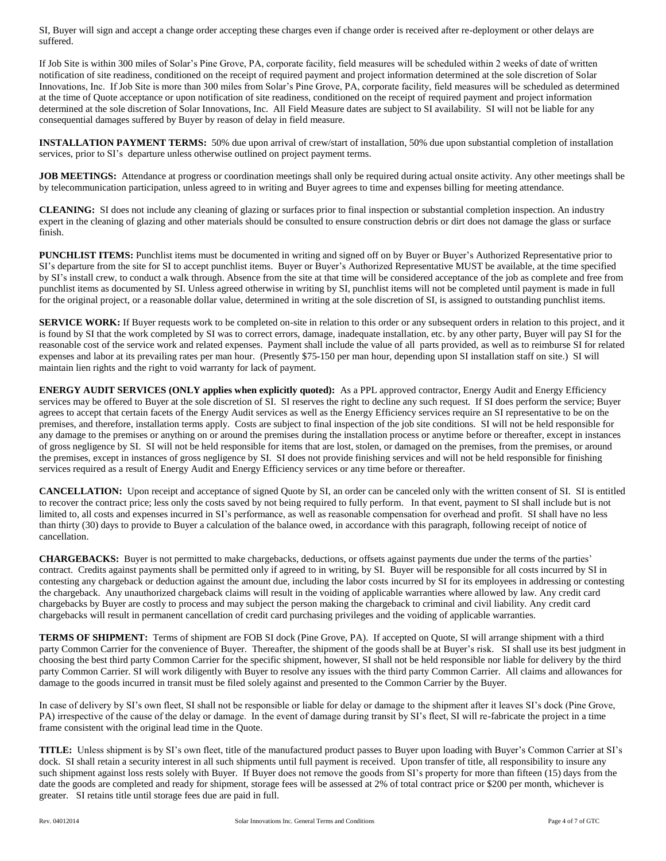SI, Buyer will sign and accept a change order accepting these charges even if change order is received after re-deployment or other delays are suffered.

If Job Site is within 300 miles of Solar's Pine Grove, PA, corporate facility, field measures will be scheduled within 2 weeks of date of written notification of site readiness, conditioned on the receipt of required payment and project information determined at the sole discretion of Solar Innovations, Inc. If Job Site is more than 300 miles from Solar's Pine Grove, PA, corporate facility, field measures will be scheduled as determined at the time of Quote acceptance or upon notification of site readiness, conditioned on the receipt of required payment and project information determined at the sole discretion of Solar Innovations, Inc. All Field Measure dates are subject to SI availability. SI will not be liable for any consequential damages suffered by Buyer by reason of delay in field measure.

**INSTALLATION PAYMENT TERMS:** 50% due upon arrival of crew/start of installation, 50% due upon substantial completion of installation services, prior to SI's departure unless otherwise outlined on project payment terms.

**JOB MEETINGS:** Attendance at progress or coordination meetings shall only be required during actual onsite activity. Any other meetings shall be by telecommunication participation, unless agreed to in writing and Buyer agrees to time and expenses billing for meeting attendance.

**CLEANING:** SI does not include any cleaning of glazing or surfaces prior to final inspection or substantial completion inspection. An industry expert in the cleaning of glazing and other materials should be consulted to ensure construction debris or dirt does not damage the glass or surface finish.

**PUNCHLIST ITEMS:** Punchlist items must be documented in writing and signed off on by Buyer or Buyer's Authorized Representative prior to SI's departure from the site for SI to accept punchlist items. Buyer or Buyer's Authorized Representative MUST be available, at the time specified by SI's install crew, to conduct a walk through. Absence from the site at that time will be considered acceptance of the job as complete and free from punchlist items as documented by SI. Unless agreed otherwise in writing by SI, punchlist items will not be completed until payment is made in full for the original project, or a reasonable dollar value, determined in writing at the sole discretion of SI, is assigned to outstanding punchlist items.

**SERVICE WORK:** If Buyer requests work to be completed on-site in relation to this order or any subsequent orders in relation to this project, and it is found by SI that the work completed by SI was to correct errors, damage, inadequate installation, etc. by any other party, Buyer will pay SI for the reasonable cost of the service work and related expenses. Payment shall include the value of all parts provided, as well as to reimburse SI for related expenses and labor at its prevailing rates per man hour. (Presently \$75-150 per man hour, depending upon SI installation staff on site.) SI will maintain lien rights and the right to void warranty for lack of payment.

**ENERGY AUDIT SERVICES (ONLY applies when explicitly quoted):** As a PPL approved contractor, Energy Audit and Energy Efficiency services may be offered to Buyer at the sole discretion of SI. SI reserves the right to decline any such request. If SI does perform the service; Buyer agrees to accept that certain facets of the Energy Audit services as well as the Energy Efficiency services require an SI representative to be on the premises, and therefore, installation terms apply. Costs are subject to final inspection of the job site conditions. SI will not be held responsible for any damage to the premises or anything on or around the premises during the installation process or anytime before or thereafter, except in instances of gross negligence by SI. SI will not be held responsible for items that are lost, stolen, or damaged on the premises, from the premises, or around the premises, except in instances of gross negligence by SI. SI does not provide finishing services and will not be held responsible for finishing services required as a result of Energy Audit and Energy Efficiency services or any time before or thereafter.

**CANCELLATION:** Upon receipt and acceptance of signed Quote by SI, an order can be canceled only with the written consent of SI. SI is entitled to recover the contract price; less only the costs saved by not being required to fully perform. In that event, payment to SI shall include but is not limited to, all costs and expenses incurred in SI's performance, as well as reasonable compensation for overhead and profit. SI shall have no less than thirty (30) days to provide to Buyer a calculation of the balance owed, in accordance with this paragraph, following receipt of notice of cancellation.

**CHARGEBACKS:** Buyer is not permitted to make chargebacks, deductions, or offsets against payments due under the terms of the parties' contract. Credits against payments shall be permitted only if agreed to in writing, by SI. Buyer will be responsible for all costs incurred by SI in contesting any chargeback or deduction against the amount due, including the labor costs incurred by SI for its employees in addressing or contesting the chargeback. Any unauthorized chargeback claims will result in the voiding of applicable warranties where allowed by law. Any credit card chargebacks by Buyer are costly to process and may subject the person making the chargeback to criminal and civil liability. Any credit card chargebacks will result in permanent cancellation of credit card purchasing privileges and the voiding of applicable warranties.

**TERMS OF SHIPMENT:** Terms of shipment are FOB SI dock (Pine Grove, PA). If accepted on Quote, SI will arrange shipment with a third party Common Carrier for the convenience of Buyer. Thereafter, the shipment of the goods shall be at Buyer's risk. SI shall use its best judgment in choosing the best third party Common Carrier for the specific shipment, however, SI shall not be held responsible nor liable for delivery by the third party Common Carrier. SI will work diligently with Buyer to resolve any issues with the third party Common Carrier. All claims and allowances for damage to the goods incurred in transit must be filed solely against and presented to the Common Carrier by the Buyer.

In case of delivery by SI's own fleet, SI shall not be responsible or liable for delay or damage to the shipment after it leaves SI's dock (Pine Grove, PA) irrespective of the cause of the delay or damage. In the event of damage during transit by SI's fleet, SI will re-fabricate the project in a time frame consistent with the original lead time in the Quote.

**TITLE:** Unless shipment is by SI's own fleet, title of the manufactured product passes to Buyer upon loading with Buyer's Common Carrier at SI's dock. SI shall retain a security interest in all such shipments until full payment is received. Upon transfer of title, all responsibility to insure any such shipment against loss rests solely with Buyer. If Buyer does not remove the goods from SI's property for more than fifteen (15) days from the date the goods are completed and ready for shipment, storage fees will be assessed at 2% of total contract price or \$200 per month, whichever is greater. SI retains title until storage fees due are paid in full.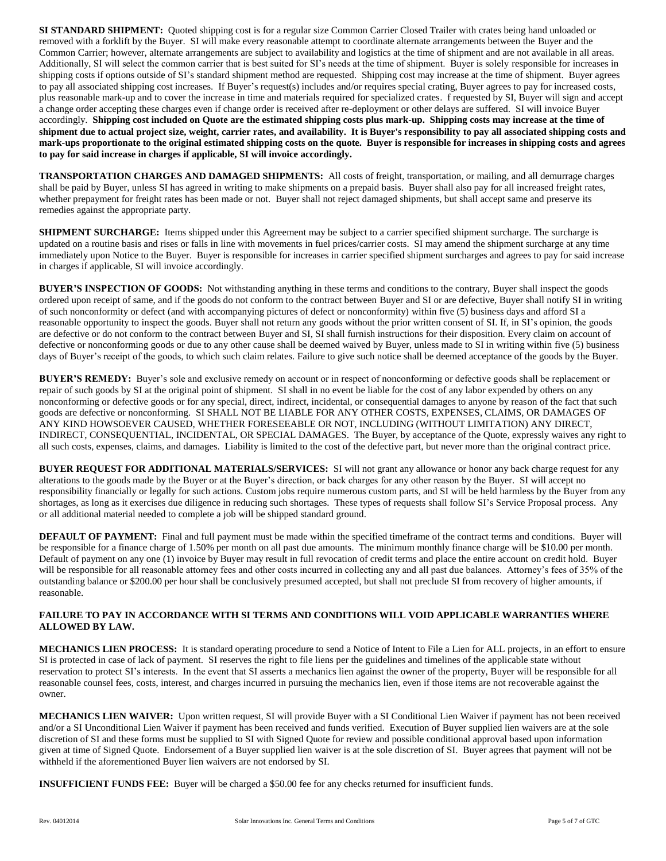**SI STANDARD SHIPMENT:** Quoted shipping cost is for a regular size Common Carrier Closed Trailer with crates being hand unloaded or removed with a forklift by the Buyer. SI will make every reasonable attempt to coordinate alternate arrangements between the Buyer and the Common Carrier; however, alternate arrangements are subject to availability and logistics at the time of shipment and are not available in all areas. Additionally, SI will select the common carrier that is best suited for SI's needs at the time of shipment. Buyer is solely responsible for increases in shipping costs if options outside of SI's standard shipment method are requested. Shipping cost may increase at the time of shipment. Buyer agrees to pay all associated shipping cost increases. If Buyer's request(s) includes and/or requires special crating, Buyer agrees to pay for increased costs, plus reasonable mark-up and to cover the increase in time and materials required for specialized crates. f requested by SI, Buyer will sign and accept a change order accepting these charges even if change order is received after re-deployment or other delays are suffered. SI will invoice Buyer accordingly. **Shipping cost included on Quote are the estimated shipping costs plus mark-up. Shipping costs may increase at the time of shipment due to actual project size, weight, carrier rates, and availability. It is Buyer's responsibility to pay all associated shipping costs and mark-ups proportionate to the original estimated shipping costs on the quote. Buyer is responsible for increases in shipping costs and agrees to pay for said increase in charges if applicable, SI will invoice accordingly.**

**TRANSPORTATION CHARGES AND DAMAGED SHIPMENTS:** All costs of freight, transportation, or mailing, and all demurrage charges shall be paid by Buyer, unless SI has agreed in writing to make shipments on a prepaid basis. Buyer shall also pay for all increased freight rates, whether prepayment for freight rates has been made or not. Buyer shall not reject damaged shipments, but shall accept same and preserve its remedies against the appropriate party.

**SHIPMENT SURCHARGE:** Items shipped under this Agreement may be subject to a carrier specified shipment surcharge. The surcharge is updated on a routine basis and rises or falls in line with movements in fuel prices/carrier costs. SI may amend the shipment surcharge at any time immediately upon Notice to the Buyer. Buyer is responsible for increases in carrier specified shipment surcharges and agrees to pay for said increase in charges if applicable, SI will invoice accordingly.

**BUYER'S INSPECTION OF GOODS:** Not withstanding anything in these terms and conditions to the contrary, Buyer shall inspect the goods ordered upon receipt of same, and if the goods do not conform to the contract between Buyer and SI or are defective, Buyer shall notify SI in writing of such nonconformity or defect (and with accompanying pictures of defect or nonconformity) within five (5) business days and afford SI a reasonable opportunity to inspect the goods. Buyer shall not return any goods without the prior written consent of SI. If, in SI's opinion, the goods are defective or do not conform to the contract between Buyer and SI, SI shall furnish instructions for their disposition. Every claim on account of defective or nonconforming goods or due to any other cause shall be deemed waived by Buyer, unless made to SI in writing within five (5) business days of Buyer's receipt of the goods, to which such claim relates. Failure to give such notice shall be deemed acceptance of the goods by the Buyer.

**BUYER'S REMEDY:** Buyer's sole and exclusive remedy on account or in respect of nonconforming or defective goods shall be replacement or repair of such goods by SI at the original point of shipment. SI shall in no event be liable for the cost of any labor expended by others on any nonconforming or defective goods or for any special, direct, indirect, incidental, or consequential damages to anyone by reason of the fact that such goods are defective or nonconforming. SI SHALL NOT BE LIABLE FOR ANY OTHER COSTS, EXPENSES, CLAIMS, OR DAMAGES OF ANY KIND HOWSOEVER CAUSED, WHETHER FORESEEABLE OR NOT, INCLUDING (WITHOUT LIMITATION) ANY DIRECT, INDIRECT, CONSEQUENTIAL, INCIDENTAL, OR SPECIAL DAMAGES. The Buyer, by acceptance of the Quote, expressly waives any right to all such costs, expenses, claims, and damages. Liability is limited to the cost of the defective part, but never more than the original contract price.

**BUYER REQUEST FOR ADDITIONAL MATERIALS/SERVICES:** SI will not grant any allowance or honor any back charge request for any alterations to the goods made by the Buyer or at the Buyer's direction, or back charges for any other reason by the Buyer. SI will accept no responsibility financially or legally for such actions. Custom jobs require numerous custom parts, and SI will be held harmless by the Buyer from any shortages, as long as it exercises due diligence in reducing such shortages. These types of requests shall follow SI's Service Proposal process. Any or all additional material needed to complete a job will be shipped standard ground.

**DEFAULT OF PAYMENT:** Final and full payment must be made within the specified timeframe of the contract terms and conditions. Buyer will be responsible for a finance charge of 1.50% per month on all past due amounts. The minimum monthly finance charge will be \$10.00 per month. Default of payment on any one (1) invoice by Buyer may result in full revocation of credit terms and place the entire account on credit hold. Buyer will be responsible for all reasonable attorney fees and other costs incurred in collecting any and all past due balances. Attorney's fees of 35% of the outstanding balance or \$200.00 per hour shall be conclusively presumed accepted, but shall not preclude SI from recovery of higher amounts, if reasonable.

## **FAILURE TO PAY IN ACCORDANCE WITH SI TERMS AND CONDITIONS WILL VOID APPLICABLE WARRANTIES WHERE ALLOWED BY LAW.**

**MECHANICS LIEN PROCESS:** It is standard operating procedure to send a Notice of Intent to File a Lien for ALL projects, in an effort to ensure SI is protected in case of lack of payment. SI reserves the right to file liens per the guidelines and timelines of the applicable state without reservation to protect SI's interests. In the event that SI asserts a mechanics lien against the owner of the property, Buyer will be responsible for all reasonable counsel fees, costs, interest, and charges incurred in pursuing the mechanics lien, even if those items are not recoverable against the owner.

**MECHANICS LIEN WAIVER:** Upon written request, SI will provide Buyer with a SI Conditional Lien Waiver if payment has not been received and/or a SI Unconditional Lien Waiver if payment has been received and funds verified. Execution of Buyer supplied lien waivers are at the sole discretion of SI and these forms must be supplied to SI with Signed Quote for review and possible conditional approval based upon information given at time of Signed Quote. Endorsement of a Buyer supplied lien waiver is at the sole discretion of SI. Buyer agrees that payment will not be withheld if the aforementioned Buyer lien waivers are not endorsed by SI.

**INSUFFICIENT FUNDS FEE:** Buyer will be charged a \$50.00 fee for any checks returned for insufficient funds.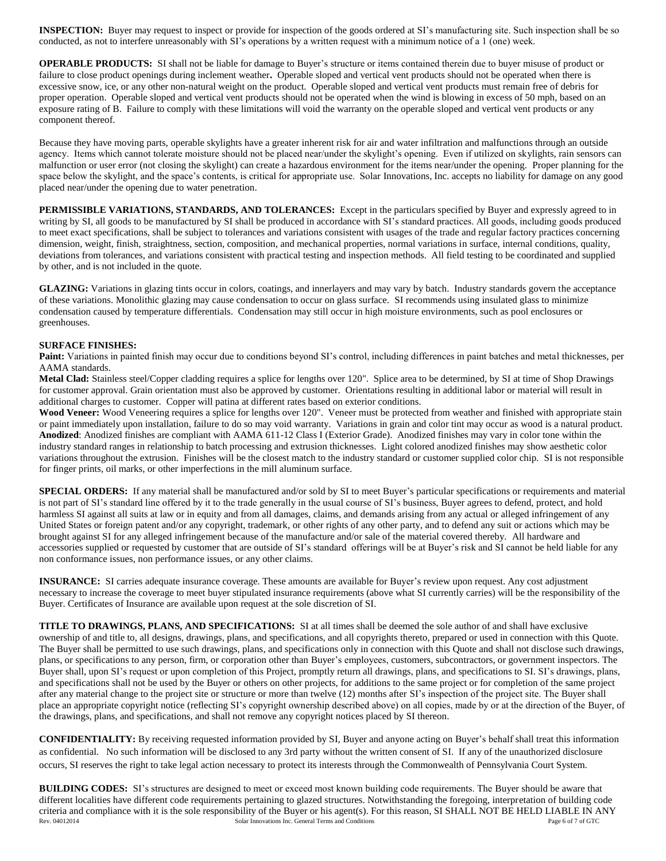**INSPECTION:** Buyer may request to inspect or provide for inspection of the goods ordered at SI's manufacturing site. Such inspection shall be so conducted, as not to interfere unreasonably with SI's operations by a written request with a minimum notice of a 1 (one) week.

**OPERABLE PRODUCTS:** SI shall not be liable for damage to Buyer's structure or items contained therein due to buyer misuse of product or failure to close product openings during inclement weather**.** Operable sloped and vertical vent products should not be operated when there is excessive snow, ice, or any other non-natural weight on the product. Operable sloped and vertical vent products must remain free of debris for proper operation. Operable sloped and vertical vent products should not be operated when the wind is blowing in excess of 50 mph, based on an exposure rating of B. Failure to comply with these limitations will void the warranty on the operable sloped and vertical vent products or any component thereof.

Because they have moving parts, operable skylights have a greater inherent risk for air and water infiltration and malfunctions through an outside agency. Items which cannot tolerate moisture should not be placed near/under the skylight's opening. Even if utilized on skylights, rain sensors can malfunction or user error (not closing the skylight) can create a hazardous environment for the items near/under the opening. Proper planning for the space below the skylight, and the space's contents, is critical for appropriate use. Solar Innovations, Inc. accepts no liability for damage on any good placed near/under the opening due to water penetration.

**PERMISSIBLE VARIATIONS, STANDARDS, AND TOLERANCES:** Except in the particulars specified by Buyer and expressly agreed to in writing by SI, all goods to be manufactured by SI shall be produced in accordance with SI's standard practices. All goods, including goods produced to meet exact specifications, shall be subject to tolerances and variations consistent with usages of the trade and regular factory practices concerning dimension, weight, finish, straightness, section, composition, and mechanical properties, normal variations in surface, internal conditions, quality, deviations from tolerances, and variations consistent with practical testing and inspection methods. All field testing to be coordinated and supplied by other, and is not included in the quote.

**GLAZING:** Variations in glazing tints occur in colors, coatings, and innerlayers and may vary by batch. Industry standards govern the acceptance of these variations. Monolithic glazing may cause condensation to occur on glass surface. SI recommends using insulated glass to minimize condensation caused by temperature differentials. Condensation may still occur in high moisture environments, such as pool enclosures or greenhouses.

## **SURFACE FINISHES:**

**Paint:** Variations in painted finish may occur due to conditions beyond SI's control, including differences in paint batches and metal thicknesses, per AAMA standards.

**Metal Clad:** Stainless steel/Copper cladding requires a splice for lengths over 120". Splice area to be determined, by SI at time of Shop Drawings for customer approval. Grain orientation must also be approved by customer. Orientations resulting in additional labor or material will result in additional charges to customer. Copper will patina at different rates based on exterior conditions.

Wood Veneer: Wood Veneering requires a splice for lengths over 120". Veneer must be protected from weather and finished with appropriate stain or paint immediately upon installation, failure to do so may void warranty. Variations in grain and color tint may occur as wood is a natural product. **Anodized**: Anodized finishes are compliant with AAMA 611-12 Class I (Exterior Grade). Anodized finishes may vary in color tone within the industry standard ranges in relationship to batch processing and extrusion thicknesses. Light colored anodized finishes may show aesthetic color variations throughout the extrusion. Finishes will be the closest match to the industry standard or customer supplied color chip. SI is not responsible for finger prints, oil marks, or other imperfections in the mill aluminum surface.

**SPECIAL ORDERS:** If any material shall be manufactured and/or sold by SI to meet Buyer's particular specifications or requirements and material is not part of SI's standard line offered by it to the trade generally in the usual course of SI's business, Buyer agrees to defend, protect, and hold harmless SI against all suits at law or in equity and from all damages, claims, and demands arising from any actual or alleged infringement of any United States or foreign patent and/or any copyright, trademark, or other rights of any other party, and to defend any suit or actions which may be brought against SI for any alleged infringement because of the manufacture and/or sale of the material covered thereby. All hardware and accessories supplied or requested by customer that are outside of SI's standard offerings will be at Buyer's risk and SI cannot be held liable for any non conformance issues, non performance issues, or any other claims.

**INSURANCE:** SI carries adequate insurance coverage. These amounts are available for Buyer's review upon request. Any cost adjustment necessary to increase the coverage to meet buyer stipulated insurance requirements (above what SI currently carries) will be the responsibility of the Buyer. Certificates of Insurance are available upon request at the sole discretion of SI.

**TITLE TO DRAWINGS, PLANS, AND SPECIFICATIONS:** SI at all times shall be deemed the sole author of and shall have exclusive ownership of and title to, all designs, drawings, plans, and specifications, and all copyrights thereto, prepared or used in connection with this Quote. The Buyer shall be permitted to use such drawings, plans, and specifications only in connection with this Quote and shall not disclose such drawings, plans, or specifications to any person, firm, or corporation other than Buyer's employees, customers, subcontractors, or government inspectors. The Buyer shall, upon SI's request or upon completion of this Project, promptly return all drawings, plans, and specifications to SI. SI's drawings, plans, and specifications shall not be used by the Buyer or others on other projects, for additions to the same project or for completion of the same project after any material change to the project site or structure or more than twelve (12) months after SI's inspection of the project site. The Buyer shall place an appropriate copyright notice (reflecting SI's copyright ownership described above) on all copies, made by or at the direction of the Buyer, of the drawings, plans, and specifications, and shall not remove any copyright notices placed by SI thereon.

**CONFIDENTIALITY:** By receiving requested information provided by SI, Buyer and anyone acting on Buyer's behalf shall treat this information as confidential. No such information will be disclosed to any 3rd party without the written consent of SI. If any of the unauthorized disclosure occurs, SI reserves the right to take legal action necessary to protect its interests through the Commonwealth of Pennsylvania Court System.

Rev. 04012014 **Solar Innovations Inc. General Terms and Conditions** Page 6 of 7 of GTC **BUILDING CODES:** SI's structures are designed to meet or exceed most known building code requirements. The Buyer should be aware that different localities have different code requirements pertaining to glazed structures. Notwithstanding the foregoing, interpretation of building code criteria and compliance with it is the sole responsibility of the Buyer or his agent(s). For this reason, SI SHALL NOT BE HELD LIABLE IN ANY